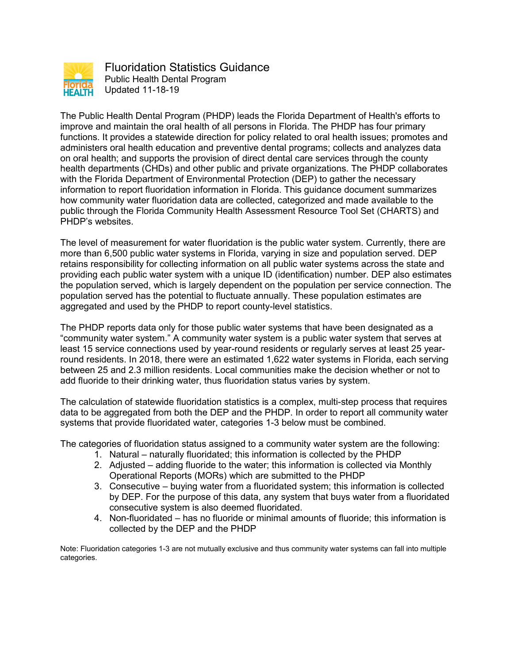

Fluoridation Statistics Guidance Public Health Dental Program Updated 11-18-19

The Public Health Dental Program (PHDP) leads the Florida Department of Health's efforts to improve and maintain the oral health of all persons in Florida. The PHDP has four primary functions. It provides a statewide direction for policy related to oral health issues; promotes and administers oral health education and preventive dental programs; collects and analyzes data on oral health; and supports the provision of direct dental care services through the county health departments (CHDs) and other public and private organizations. The PHDP collaborates with the Florida Department of Environmental Protection (DEP) to gather the necessary information to report fluoridation information in Florida. This guidance document summarizes how community water fluoridation data are collected, categorized and made available to the public through the Florida Community Health Assessment Resource Tool Set (CHARTS) and PHDP's websites.

The level of measurement for water fluoridation is the public water system. Currently, there are more than 6,500 public water systems in Florida, varying in size and population served. DEP retains responsibility for collecting information on all public water systems across the state and providing each public water system with a unique ID (identification) number. DEP also estimates the population served, which is largely dependent on the population per service connection. The population served has the potential to fluctuate annually. These population estimates are aggregated and used by the PHDP to report county-level statistics.

The PHDP reports data only for those public water systems that have been designated as a "community water system." A community water system is a public water system that serves at least 15 service connections used by year-round residents or regularly serves at least 25 yearround residents. In 2018, there were an estimated 1,622 water systems in Florida, each serving between 25 and 2.3 million residents. Local communities make the decision whether or not to add fluoride to their drinking water, thus fluoridation status varies by system.

The calculation of statewide fluoridation statistics is a complex, multi-step process that requires data to be aggregated from both the DEP and the PHDP. In order to report all community water systems that provide fluoridated water, categories 1-3 below must be combined.

The categories of fluoridation status assigned to a community water system are the following:

- 1. Natural naturally fluoridated; this information is collected by the PHDP
- 2. Adjusted adding fluoride to the water; this information is collected via Monthly Operational Reports (MORs) which are submitted to the PHDP
- 3. Consecutive buying water from a fluoridated system; this information is collected by DEP. For the purpose of this data, any system that buys water from a fluoridated consecutive system is also deemed fluoridated.
- 4. Non-fluoridated has no fluoride or minimal amounts of fluoride; this information is collected by the DEP and the PHDP

Note: Fluoridation categories 1-3 are not mutually exclusive and thus community water systems can fall into multiple categories.